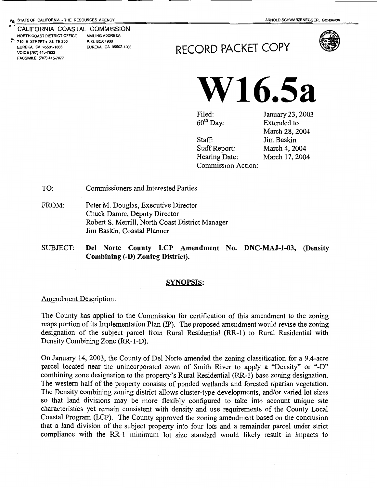#### CALIFORNIA COASTAL COMMISSION NORTH COAST DISTRICT OFFICE MAILING ADDRESS: 710 E STREET • SUITE 200 P. O. BOX 4908<br>EUREKA, CA 95501-1865 EUREKA, CA 95502-4908 EUREKA, CA 95501-1865 VOICE (707) 445-7833 FACSIMILE (707) 445-7877





Filed: 60<sup>th</sup> Day:

Staff Report: Hearing Date:

Commission Action:

Staff:

January 23, 2003 Extended to March 28, 2004 Jim Baskin March 4, 2004 March 17, 2004

TO: Commissioners and Interested Parties

- FROM: Peter M. Douglas, Executive Director Chuck Damm, Deputy Director Robert S. Merrill, North Coast District Manager Jim Baskin, Coastal Planner
- SUBJECT: Del Norte County LCP Amendment No. DNC-MAJ-1-03, (Density Combining (-D) Zoning District).

#### SYNOPSIS:

#### Amendment Description:

The County has applied to the Commission for certification of this amendment to the zoning maps portion of its Implementation Plan (IP). The proposed amendment would revise the zoning designation of the subject parcel from Rural Residential (RR-1) to Rural Residential with Density Combining Zone (RR-1-D).

On January 14, 2003, the County of Del Norte amended the zoning classification for a 9.4-acre parcel located near the unincorporated town of Smith River to apply a "Density" or "-D" combining zone designation to the property's Rural Residential (RR -1) base zoning designation. The western half of the property consists of ponded wetlands and forested riparian vegetation. The Density combining zoning district allows cluster-type developments, and/or varied lot sizes so that land divisions may be more flexibly configured to take into account unique site characteristics yet remain consistent with density and use requirements of the County Local Coastal Program (LCP). The County approved the zoning amendment based on the conclusion that a land division of the subject property into four lots and a remainder parcel under strict compliance with the RR-1 minimum lot size standard would likely result in impacts to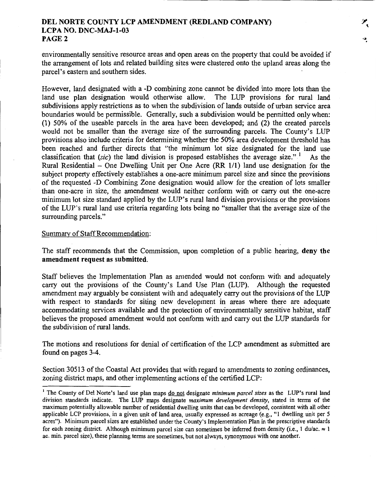environmentally sensitive resource areas and open areas on the property that could be avoided if the arrangement of lots and related building sites were clustered onto the upland areas along the parcel's eastern and southern sides.

However, land designated with a -D combining zone cannot be divided into more lots than the land use plan designation would otherwise allow. The LUP provisions for rural land subdivisions apply restrictions as to when the subdivision of lands outside of urban service area boundaries would be permissible. Generally, such a subdivision would be permitted only when: (1) 50% of the useable parcels in the area have been developed; and (2) the created parcels would not be smaller than the average size of the surrounding parcels. The County's LUP provisions also include criteria for determining whether the 50% area development threshold has been reached and further directs that "the minimum lot size designated for the land use classification that (sic) the land division is proposed establishes the average size." As the Rural Residential - One Dwelling Unit per One Acre  $(RR 1/1)$  land use designation for the subject property effectively establishes a one-acre minimum parcel size and since the provisions of the requested -D Combining Zone designation would allow for the creation of lots smaller than one-acre in size, the amendment would neither conform with or carry out the one-acre minimum lot size standard applied by the LUP's rural land division provisions or the provisions of the LUP's rural land use criteria regarding lots being no "smaller that the average size of the surrounding parcels."

#### Summary of Staff Recommendation:

The staff recommends that the Commission, upon completion of a public hearing, deny the amendment request as submitted.

Staff believes the Implementation Plan as amended would not conform with and adequately carry out the provisions of the County's Land Use Plan (LUP). Although the requested amendment may arguably be consistent with and adequately carry out the provisions of the LUP with respect to standards for siting new development in areas where there are adequate accommodating services available and the protection of environmentally sensitive habitat, staff believes the proposed amendment would not conform with and carry out the LUP standards for the subdivision of rural lands.

The motions and resolutions for denial of certification of the LCP amendment as submitted are found on pages 3-4.

Section 30513 of the Coastal Act provides that with regard to amendments to zoning ordinances, zoning district maps, and other implementing actions of the certified LCP:

<sup>1</sup> The County of Del Norte's land use plan maps do not designate *minimum parcel sizes* as the LUP's rural land division standards indicate. The LUP maps designate *maximum development density,* stated in terms of the maximum potentially allowable number of residential dwelling units that can be developed, consistent with all other applicable LCP provisions, in a given unit of land area, usually expressed as acreage (e.g., "I dwelling unit per 5 acres"). Minimum parcel sizes are established under the County's Implementation Plan in the prescriptive standards for each zoning district. Although minimum parcel size can sometimes be inferred from density (i.e., 1 du/ac.  $\approx 1$ ) ac. min. parcel size), these planning terms are sometimes, but not always, synonymous with one another.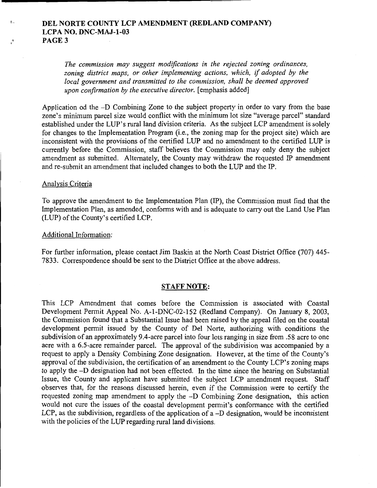*The commission may suggest modifications in the rejected zoning ordinances, zoning district maps, or other implementing actions, which, if adopted by the local government and transmitted to the commission, shall be deemed approved upon confirmation by the executive director.* [emphasis added]

Application od the -D Combining Zone to the subject property in order to vary from the base zone's minimum parcel size would conflict with the minimum lot size "average parcel" standard established under the LUP's rural land division criteria. As the subject LCP amendment is solely for changes to the Implementation Program (i.e., the zoning map for the project site) which are inconsistent with the provisions of the certified LUP and no amendment to the certified LUP is currently before the Commission, staff believes the Commission may only deny the subject amendment as submitted. Alternately, the County may withdraw the requested IP amendment and re-submit an amendment that included changes to both the LUP and the IP.

#### Analysis Criteria

 $\Delta$ .

 $\mathcal{C}$ 

To approve the amendment to the Implementation Plan (IP), the Commission must find that the Implementation Plan, as amended, conforms with and is adequate to carry out the Land Use Plan (LUP) of the County's certified LCP.

#### Additional Information:

For further information, please contact Jim Baskin at the North Coast District Office (707) 445- 7833. Correspondence should be sent to the District Office at the above address.

#### **STAFF NOTE:**

This LCP Amendment that comes before the Commission is associated with Coastal Development Permit Appeal No. A-1-DNC-02-152 (Redland Company). On January 8, 2003, the Commission found that a Substantial Issue had been raised by the appeal filed on the coastal development permit issued by the County of Del Norte, authorizing with conditions the subdivision of an approximately 9.4-acre parcel into four lots ranging in size from .58 acre to one acre with a 6.5-acre remainder parcel. The approval of the subdivision was accompanied by a request to apply a Density Combining Zone designation. However, at the time of the County's approval of the subdivision, the certification of an amendment to the County LCP's zoning maps to apply the -D designation had not been effected. In the time since the hearing on Substantial Issue, the County and applicant have submitted the subject LCP amendment request. Staff observes that, for the reasons discussed herein, even if the Commission were to certify the requested zoning map amendment to apply the -D Combining Zone designation, this action would not cure the issues of the coastal development permit's conformance with the certified LCP, as the subdivision, regardless of the application of a-D designation, would be inconsistent with the policies of the LUP regarding rural land divisions.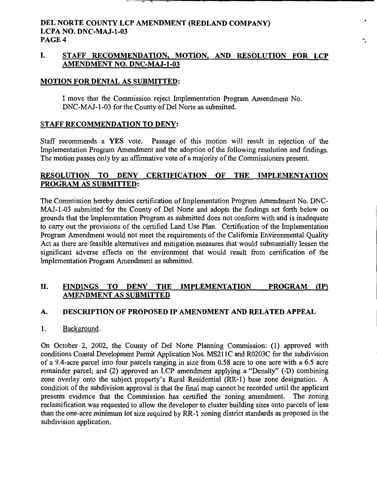## I. STAFF RECOMMENDATION, MOTION, AND RESOLUTION FOR LCP AMENDMENT NO. DNC-MAJ-1-03

## MOTION FOR DENIAL AS SUBMITTED:

I move that the Commission reject Implementation Program Amendment No. DNC-MAJ-1-03 for the County of Del Norte as submitted.

## STAFF RECOMMENDATION TO DENY:

Staff recommends a YES vote. Passage of this motion will result in rejection of the Implementation Program Amendment and the adoption of the following resolution and findings. The motion passes only by an affirmative vote of a majority of the Commissioners present.

## RESOLUTION TO DENY CERTIFICATION OF THE IMPLEMENTATION PROGRAM AS SUBMITTED:

The Commission hereby denies certification of Implementation Program Amendment No. DNC-MAJ-1-03 submitted for the County of Del Norte and adopts the findings set forth below on grounds that the Implementation Program as submitted does not conform with and is inadequate to carry out the provisions of the certified Land Use Plan. Certification of the Implementation Program Amendment would not meet the requirements of the California Environmental Quality Act as there are feasible alternatives and mitigation measures that would substantially lessen the significant adverse effects on the environment that would result from certification of the Implementation Program Amendment as submitted.

## II. FINDINGS TO DENY THE IMPLEMENTATION PROGRAM (IP) AMENDMENT AS SUBMITTED

## A. DESCRIPTION OF PROPOSED IP AMENDMENT AND RELATED APPEAL

## 1. Background.

On October 2, 2002, the County of Del Norte Planning Commission: (1) approved with conditions Coastal Development Permit Application Nos. MS211 C and R0203C for the subdivision of a 9.4-acre parcel into four parcels ranging in size from 0.58 acre to one acre with a 6.5 acre remainder parcel; and (2) approved an LCP amendment applying a "Density" (-D) combining zone overlay onto the subject property's Rural Residential (RR-1) base zone designation. A condition of the subdivision approval is that the final map cannot be recorded until the applicant presents evidence that the Commission has certified the zoning amendment. The zoning reclassification was requested to allow the developer to cluster building sites onto parcels of less than the one-acre minimum lot size required by RR-1 zoning district standards as proposed in the subdivision application.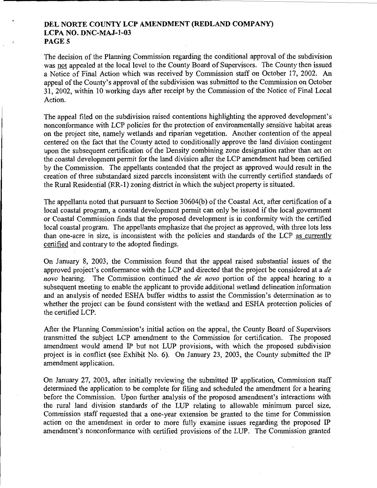The decision of the Planning Commission regarding the conditional approval of the subdivision was not appealed at the local level to the County Board of Supervisors. The County then issued a Notice of Final Action which was received by Commission staff on October 17, 2002. An appeal of the County's approval of the subdivision was submitted to the Commission on October 31, 2002, within 10 working days after receipt by the Commission of the Notice of Final Local Action.

The appeal filed on the subdivision raised contentions highlighting the approved development's nonconformance with LCP policies for the protection of environmentally sensitive habitat areas on the project site, namely wetlands and riparian vegetation. Another contention of the appeal centered on the fact that the County acted to conditionally approve the land division contingent upon the subsequent certification of the Density combining zone designation rather than act on the coastal development permit for the land division after the LCP amendment had been certified by the Commission. The appellants contended that the project as approved would result in the creation of three substandard sized parcels inconsistent with the currently certified standards of the Rural Residential (RR-1) zoning district in which the subject property is situated.

The appellants noted that pursuant to Section 30604(b) of the Coastal Act, after certification of a local coastal program, a coastal development permit can only be issued if the local government or Coastal Commission finds that the proposed development is in conformity with the certified local coastal program. The appellants emphasize that the project as approved, with three lots less than one-acre in size, is inconsistent with the policies and standards of the LCP as currently certified and contrary to the adopted findings.

On January 8, 2003, the Commission found that the appeal raised substantial issues of the approved project's conformance with the LCP and directed that the project be considered at a *de novo* hearing. The Commission continued the *de novo* portion of the appeal hearing to a subsequent meeting to enable the applicant to provide additional wetland delineation information and an analysis of needed ESHA buffer widths to assist the Commission's determination as to whether the project can be found consistent with the wetland and ESHA protection policies of the certified LCP.

After the Planning Commission's initial action on the appeal, the County Board of Supervisors transmitted the subject LCP amendment to the Commission for certification. The proposed amendment would amend IP but not LUP provisions, with which the proposed subdivision project is in conflict (see Exhibit No. 6). On January 23, 2003, the County submitted the IP amendment application.

On January 27, 2003, after initially reviewing the submitted IP application, Commission staff determined the application to be complete for filing and scheduled the amendment for a hearing before the Commission. Upon further analysis of the proposed amendment's interactions with the rural land division standards of the LUP relating to allowable minimum parcel size, Commission staff requested that a one-year extension be granted to the time for Commission action on the amendment in order to more fully examine issues regarding the proposed IP amendment's nonconformance with certified provisions of the LUP. The Commission granted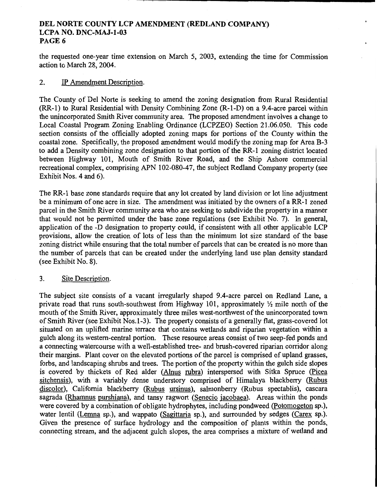the requested one-year time extension on March 5, 2003, extending the time for Commission action to March 28, 2004.

#### 2. IP Amendment Description.

The County of Del Norte is seeking to amend the zoning designation from Rural Residential (RR-1) to Rural Residential with Density Combining Zone (R-1-D) on a 9.4-acre parcel within the unincorporated Smith River community area. The proposed amendment involves a change to Local Coastal Program Zoning Enabling Ordinance (LCPZEO) Section 21.06.050. This code section consists of the officially adopted zoning maps for portions of the County within the coastal zone. Specifically, the proposed amendment would modify the zoning map for Area B-3 to add a Density combining zone designation to that portion of the RR -1 zoning district located between Highway 101, Mouth of Smith River Road, and the Ship Ashore commercial recreational complex, comprising APN 102-080-47, the subject Redland Company property (see Exhibit Nos. 4 and 6).

The RR-1 base zone standards require that any lot created by land division or lot line adjustment be a minimum of one acre in size. The amendment was initiated by the owners of a RR-1 zoned parcel in the Smith River community area who are seeking to subdivide the property in a manner that would not be permitted under the base zone regulations (see Exhibit No. 7). In general, application of the -D designation to property could, if consistent with all other applicable LCP provisions, allow the creation of lots of less than the minimum lot size standard of the base zoning district while ensuring that the total number of parcels that can be created is no more than the number of parcels that can be created under the underlying land use plan density standard (see Exhibit No. 8).

## 3. Site Description.

The subject site consists of a vacant irregularly shaped 9.4-acre parcel on Redland Lane, a private road that runs south-southwest from Highway 101, approximately  $\frac{1}{2}$  mile north of the mouth of the Smith River, approximately three miles west-northwest of the unincorporated town of Smith River (see Exhibit Nos.l-3). The property consists of a generally flat, grass-covered lot situated on an uplifted marine terrace that contains wetlands and riparian vegetation within a gulch along its western-central portion. These resource areas consist of two seep-fed ponds and a connecting watercourse with a well-established tree- and brush-covered riparian corridor along their margins. Plant cover on the elevated portions of the parcel is comprised of upland grasses, forbs, and landscaping shrubs and trees. The portion of the property within the gulch side slopes is covered by thickets of Red alder (Alnus rubra) interspersed with Sitka Spruce (Picea sitchensis), with a variably dense understory comprised of Himalaya blackberry (Rubus discolor), California blackberry (Rubus ursinus), salmonberry (Rubus spectablis), cascara sagrada (Rhamnus purshiana), and tansy ragwort (Senecio jacobaea). Areas within the ponds were covered by a combination of obligate hydrophytes, including pondweed (Potomogeton sp.), water lentil (Lemna sp.), and wappato (Sagittaria sp.), and surrounded by sedges (Carex sp.). Given the presence of surface hydrology and the composition of plants within the ponds, connecting stream, and the adjacent gulch slopes, the area comprises a mixture of wetland and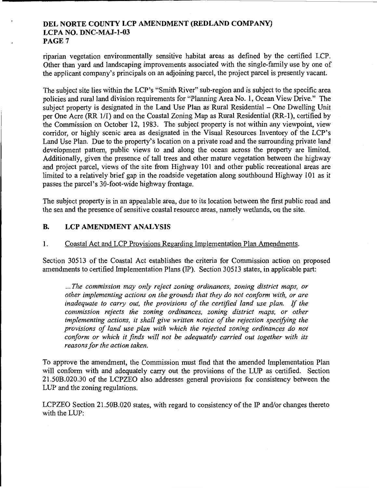riparian vegetation environmentally sensitive habitat areas as defined by the certified LCP. Other than yard and landscaping improvements associated with the single-family use by one of the applicant company's principals on an adjoining parcel, the project parcel is presently vacant.

The subject site lies within the LCP's "Smith River" sub-region and is subject to the specific area policies and rural land division requirements for "Planning Area No. 1, Ocean View Drive." The subject property is designated in the Land Use Plan as Rural Residential – One Dwelling Unit per One Acre (RR 1/1) and on the Coastal Zoning Map as Rural Residential (RR-1), certified by the Commission on October 12, 1983. The subject property is not within any viewpoint, view corridor, or highly scenic area as designated in the Visual Resources Inventory of the LCP's Land Use Plan. Due to the property's location on a private road and the surrounding private land development pattern, public views to and along the ocean across the property are limited. Additionally, given the presence of tall trees and other mature vegetation between the highway and project parcel, views of the site from Highway 101 and other public recreational areas are limited to a relatively brief gap in the roadside vegetation along southbound Highway 101 as it passes the parcel's 30-foot-wide highway frontage.

The subject property is in an appealable area, due to its location between the first public road and the sea and the presence of sensitive coastal resource areas, namely wetlands, on the site.

## B. LCP AMENDMENT ANALYSIS

## 1. Coastal Act and LCP Provisions Regarding Implementation Plan Amendments.

Section 30513 of the Coastal Act establishes the criteria for Commission action on proposed amendments to certified Implementation Plans (IP). Section 30513 states, in applicable part:

... *The commission may only reject zoning ordinances, zoning district maps, or other implementing actions on the grounds that they do not conform with, or are inadequate to carry out, the provisions of the certified land use plan.* If *the commission rejects the zoning ordinances, zoning district maps, or other implementing actions, it shall give written notice of the rejection specifying the provisions of land use plan with which the rejected zoning ordinances do not conform or which it finds will not be adequately carried out together with its reasons for the action taken.* 

To approve the amendment, the Commission must find that the amended Implementation Plan will conform with and adequately carry out the provisions of the LUP as certified. Section 21.50B.020.30 of the LCPZEO also addresses general provisions for consistency between the LUP and the zoning regulations.

LCPZEO Section 21.50B.020 states, with regard to consistency of the IP and/or changes thereto with the LUP: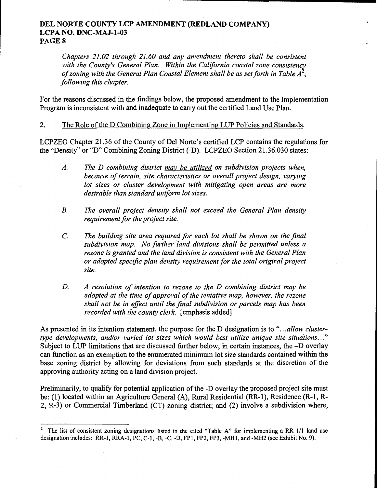*Chapters 21.02 through 21.60 and any amendment thereto shall be consistent*  with the County's General Plan. Within the California coastal zone consistency *of zoning with the General Plan Coastal Element shall be as set forth in Table A* , *following this chapter.* 

For the reasons discussed in the findings below, the proposed amendment to the Implementation Program is inconsistent with and inadequate to carry out the certified Land Use Plan.

2. The Role of the D Combining Zone in Implementing LUP Policies and Standards.

LCPZEO Chapter 21.36 of the County of Del Norte's certified LCP contains the regulations for the "Density" or "D" Combining Zoning District (-D). LCPZEO Section 21.36.030 states:

- *A. The D combining district may be utilized on subdivision projects when, because of terrain, site characteristics or overall project design, varying lot sizes or cluster development with mitigating open areas are more desirable than standard uniform lot sizes.*
- *B. The overall project density shall not exceed the General Plan density requirement for the project site.*
- C. *The building site area required for each lot shall be shown on the final subdivision map. No further land divisions shall be permitted unless a rezone is granted and the land division is consistent with the General Plan or adopted specific plan density requirement for the total original project site.*
- *D. A resolution of intention to rezone to the D combining district may be adopted at the time of approval of the tentative map, however, the rezone shall not be in effect until the final subdivision or parcels map has been recorded with the county clerk.* [emphasis added]

As presented in its intention statement, the purpose for the D designation is to *" ... allow clustertype developments, and/or varied lot sizes which would best utilize unique site situations ... "*  Subject to LUP limitations that are discussed further below, in certain instances, the -D overlay can function as an exemption to the enumerated minimum lot size standards contained within the base zoning district by allowing for deviations from such standards at the discretion of the approving authority acting on a land division project.

Preliminarily, to qualify for potential application of the -D overlay the proposed project site must be: (1) located within an Agriculture General (A), Rural Residential (RR-1), Residence (R-1, R-2, R-3) or Commercial Timberland (CT) zoning district; and (2) involve a subdivision where,

<sup>&</sup>lt;sup>2</sup> The list of consistent zoning designations listed in the cited "Table A" for implementing a RR 1/1 land use designation includes: RR-1, RRA-1, PC, C-1, -B, -C, -D, FP1, FP2, FP3, -MH1, and -MH2 (see Exhibit No.9).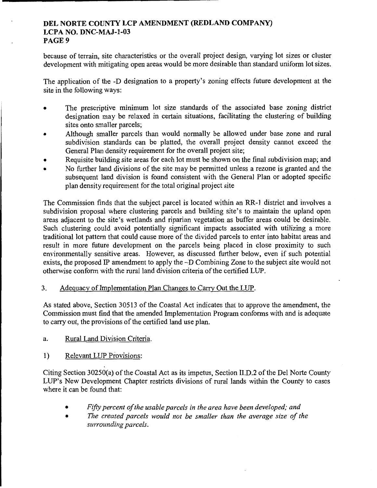because of terrain, site characteristics or the overall project design, varying lot sizes or cluster development with mitigating open areas would be more desirable than standard uniform lot sizes.

The application of the -D designation to a property's zoning effects future development at the site in the following ways:

- The prescriptive minimum lot size standards of the associated base zoning district designation may be relaxed in certain situations, facilitating the clustering of building sites onto smaller parcels;
- Although smaller parcels than would normally be allowed under base zone and rural subdivision standards can be platted, the overall project density cannot exceed the General Plan density requirement for the overall project site;
- Requisite building site areas for each lot must be shown on the final subdivision map; and
- No further land divisions of the site may be permitted unless a rezone is granted and the subsequent land division is found consistent with the General Plan or adopted specific plan density requirement for the total original project site

The Commission finds that the subject parcel is located within an RR-1 district and involves a subdivision proposal where clustering parcels and building site's to maintain the upland open areas adjacent to the site's wetlands and riparian vegetation as buffer areas could be desirable. Such clustering could avoid potentially significant impacts associated with utilizing a more traditional lot pattern that could cause more of the divided parcels to enter into habitat areas and result in more future development on the parcels being placed in close proximity to such environmentally sensitive areas. However, as discussed further below, even if such potential exists, the proposed IP amendment to apply the -D Combining Zone to the subject site would not otherwise conform with the rural land division criteria of the certified LUP.

## 3. Adequacy of Implementation Plan Changes to Carry Out the LUP.

As stated above, Section 30513 of the Coastal Act indicates that to approve the amendment, the Commission must find that the amended Implementation Program conforms with and is adequate to carry out, the provisions of the certified land use plan.

- a. Rural Land Division Criteria.
- 1) Relevant LUP Provisions:

Citing Section 30250(a) of the Coastal Act as its impetus, Section II.D.2 of the Del Norte County LUP's New Development Chapter restricts divisions of rural lands within the County to cases where it can be found that:

- *Fifty percent of the usable parcels in the area have been developed; and*
- *The created parcels would not be smaller than the average size of the surrounding parcels.*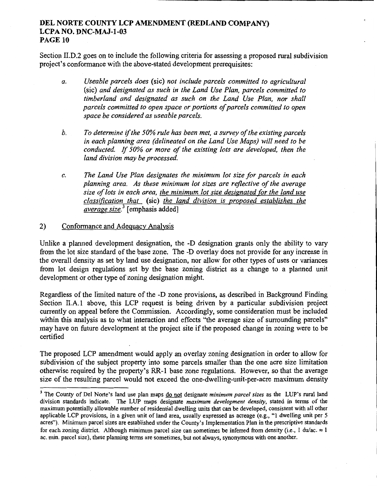Section II.D.2 goes on to include the following criteria for assessing a proposed rural subdivision project's conformance with the above-stated development prerequisites:

- *a. Useable parcels does* (sic) *not include parcels committed to agricultural*  (sic) *and designated as such in the Land Use Plan, parcels committed to timberland and designated as such on the Land Use Plan, nor shall parcels committed to open space or portions of parcels committed to open space be considered as useable parcels.*
- *b. To determine* if *the 50% rule has been met, a survey of the existing parcels in each planning area (delineated on the Land Use Maps) will need to be conducted.* If *50% or more of the existing lots are developed, then the land division may be processed.*
- *c. The Land Use Plan designates the minimum lot size for parcels in each planning area. As these minimum lot sizes are reflective of the average size of lots in each area, the minimum lot size designated (or the land use classification that* (sic) *the land division is proposed establishes the average size.* 3 [emphasis added]

## 2) Conformance and Adequacy Analysis

Unlike a planned development designation, the -D designation grants only the ability to vary from the lot size standard of the base zone. The -D overlay does not provide for any increase in the overall density as set by land use designation, nor allow for other types of uses or variances from lot design regulations set by the base zoning district as a change to a planned unit development or other type of zoning designation might.

Regardless of the limited nature of the -D zone provisions, as described in Background Finding Section II.A.l above, this LCP request is being driven by a particular subdivision project currently on appeal before the Commission. Accordingly, some consideration must be included within this analysis as to what interaction and effects "the average size of surrounding parcels" may have on future development at the project site if the proposed change in zoning were to be certified

The proposed LCP amendment would apply an overlay zoning designation in order to allow for subdivision of the subject property into some parcels smaller than the one acre size limitation otherwise required by the property's RR-1 base zone regulations. However, so that the average size of the resulting parcel would not exceed the one-dwelling-unit-per-acre maximum density

<sup>3</sup> The County of Del Norte's land use plan maps do not designate *minimum parcel sizes* as the LUP's rural land division standards indicate. The LUP maps designate *maximum development density,* stated in tenns of the maximum potentially allowable number of residential dwelling units that can be developed, consistent with all other applicable LCP provisions, in a given unit of land area, usually expressed as acreage (e.g., "1 dwelling unit per 5 acres"). Minimum parcel sizes are established under the County's Implementation Plan in the prescriptive standards for each zoning district. Although minimum parcel size can sometimes be inferred from density (i.e., 1 du/ac.  $\approx 1$ ac. min. parcel size), these planning terms are sometimes, but not always, synonymous with one another.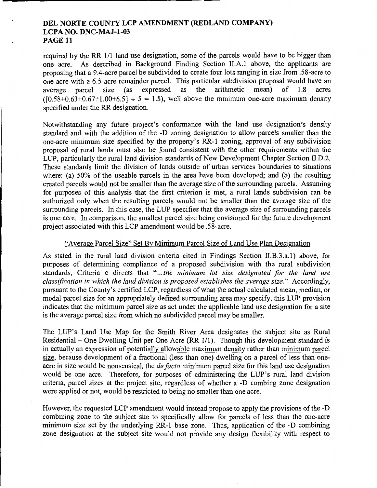required by the RR 1/1 land use designation, some of the parcels would have to be bigger than one acre. As described in Background Finding Section II.A.1 above, the applicants are proposing that a 9.4-acre parcel be subdivided to create four lots ranging in size from .58-acre to one acre with a 6.5-acre remainder parcel. This particular subdivision proposal would have an average narcel size (as expressed as the arithmetic mean) of 1.8 acres average parcel size (as expressed as the arithmetic mean) of 1.8 acres  $(10.58+0.63+0.67+1.00+6.5] \div 5 = 1.8$ , well above the minimum one-acre maximum density specified under the RR designation.

Notwithstanding any future project's conformance with the land use designation's density standard and with the addition of the -D zoning designation to allow parcels smaller than the one-acre minimum size specified by the property's RR-1 zoning, approval of any subdivision proposal of rural lands must also be found consistent with the other requirements within the LUP, particularly the rural land division standards of New Development Chapter Section II.D.2. These standards limit the division of lands outside of urban services boundaries to situations where: (a) 50% of the useable parcels in the area have been developed; and (b) the resulting created parcels would not be smaller than the average size of the surrounding parcels. Assuming for purposes of this analysis that the first criterion is met, a rural lands subdivision can be authorized only when the resulting parcels would not be smaller than the average size of the surrounding parcels. In this case, the LUP specifies that the average size of surrounding parcels is one acre. In comparison, the smallest parcel size being envisioned for the future development project associated with this LCP amendment would be .58-acre.

#### "Average Parcel Size" Set By Minimum Parcel Size of Land Use Plan Designation

As stated in the rural land division criteria cited in Findings Section II.B.3.a.1) above, for purposes of determining compliance of a proposed subdivision with the rural subdivision standards, Criteria c directs that *" ... the minimum lot size designated for the land use classification in which the land division is proposed establishes the average size."* Accordingly, pursuant to the County's certified LCP, regardless of what the actual calculated mean, median, or modal parcel size for an appropriately defined surrounding area may specify, this LUP provision indicates that the minimum parcel size as set under the applicable land use designation for a site is the average parcel size from which no subdivided parcel may be smaller.

The LUP's Land Use Map for the Smith River Area designates the subject site as Rural Residential - One Dwelling Unit per One Acre (RR 1/1). Though this development standard is in actually an expression of potentially allowable maximum density rather than minimum parcel size, because development of a fractional (less than one) dwelling on a parcel of less than oneacre in size would be nonsensical, the *de facto* minimum parcel size for this land use designation would be one acre. Therefore, for purposes of administering the LUP's rural land division criteria, parcel sizes at the project site, regardless of whether a -D combing zone designation were applied or not, would be restricted to being no smaller than one acre.

However, the requested LCP amendment would instead propose to apply the provisions of the -D combining zone to the subject site to specifically allow for parcels of less than the one-acre minimum size set by the underlying RR-1 base zone. Thus, application of the -D combining zone designation at the subject site would not provide any design flexibility with respect to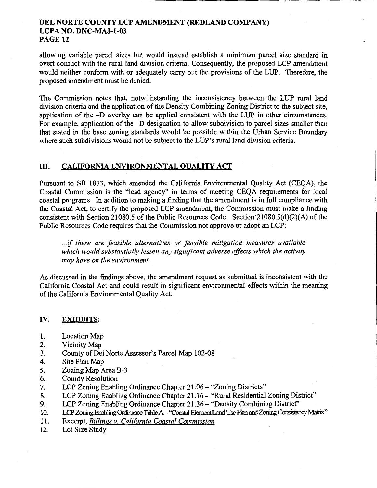allowing variable parcel sizes but would instead establish a minimwn parcel size standard in overt conflict with the rural land division criteria. Consequently, the proposed LCP amendment would neither conform with or adequately carry out the provisions of the LUP. Therefore, the proposed amendment must be denied.

The Commission notes that, notwithstanding the inconsistency between the LUP rural land division criteria and the application of the Density Combining Zoning District to the subject site, application of the -D overlay can be applied consistent with the LUP in other circumstances. For example, application of the -D designation to allow subdivision to parcel sizes smaller than that stated in the base zoning standards would be possible within the Urban Service Boundary where such subdivisions would not be subject to the LUP's rural land division criteria.

## III. CALIFORNIA ENVIRONMENTAL QUALITY ACT

Pursuant to SB 1873, which amended the California Environmental Quality Act (CEQA), the Coastal Commission is the "lead agency" in terms of meeting CEQA requirements for local coastal programs. In addition to making a finding that the amendment is in full compliance with the Coastal Act, to certify the proposed LCP amendment, the Commission must make a finding consistent with Section 21080.5 of the Public Resources Code. Section 21080.5(d)(2)(A) of the Public Resources Code requires that the Commission not approve or adopt an LCP:

... if *there are feasible alternatives or feasible mitigation measures available which would substantially lessen any significant adverse effects which the activity may have on the environment.* 

As discussed in the findings above, the amendment request as submitted is inconsistent with the California Coastal Act and could result in significant environmental effects within the meaning of the California Environmental Quality Act.

## IV. EXHIBITS:

- 1. Location Map
- 2. Vicinity Map
- 3. County of Del Norte Assessor's Parcel Map 102-08
- 4. Site Plan Map
- 5. Zoning Map Area B-3
- 6. County Resolution
- 7. LCP Zoning Enabling Ordinance Chapter 21.06 "Zoning Districts"
- 8. LCP Zoning Enabling Ordinance Chapter 21.16 "Rural Residential Zoning District"
- 9. LCP Zoning Enabling Ordinance Chapter 21.36 "Density Combining District"
- 10. LCP Zoning Enabling Ordinance Table A "Coastal Element Land Use Plan and Zoning Consistency Matrix"
- 11. Excerpt, *Billings v. California Coastal Commission*
- 12. Lot Size Study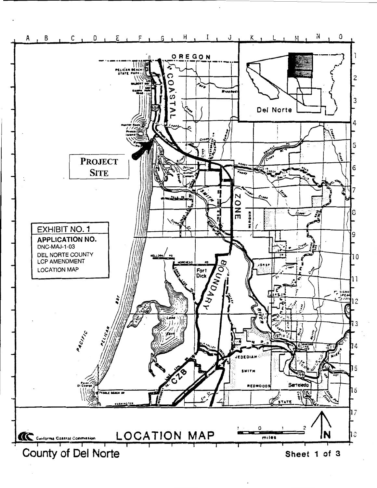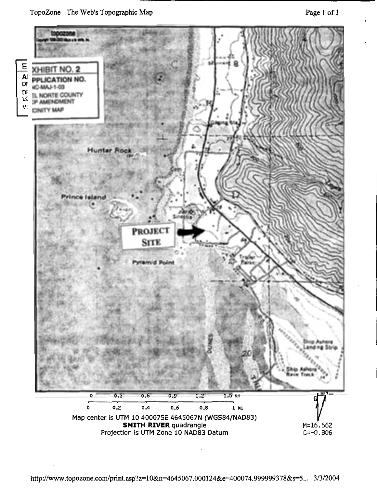TopoZone- The Web's Topographic Map



http://www.topozone.com/print.asp?z=10&n=4645067.000124&e=400074.999999378&s=5... 3/3/2004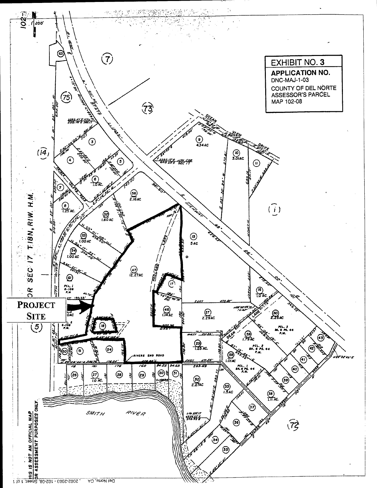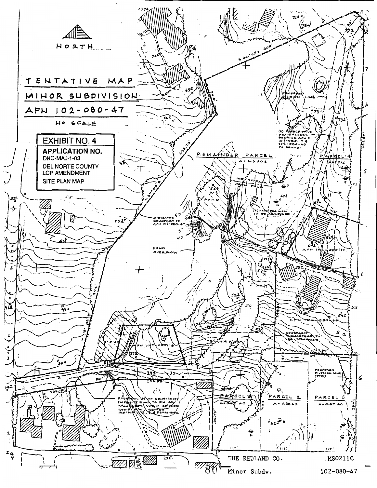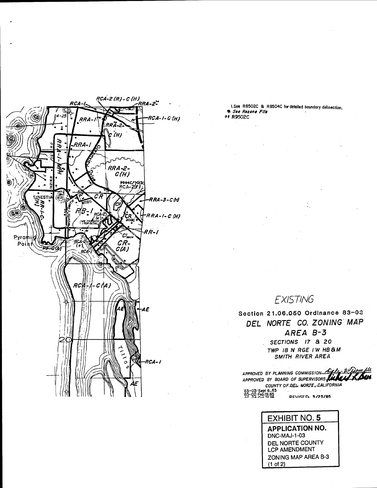

I.See R8502C & R8504C for detailed boundary delineation. \* See Rezone File **\*\* R9502C** 

# EXISTING

Section 21.06.050 Ordinance 83-03 DEL NORTE CO. ZONING MAP AREA B-3 SECTIONS 17 & 20 TWP IS N RGE IW HB & M SMITH RIVER AREA

APPROVED BY PLANNING COMMISSION APPROVED BY BOARD OF SUPERVISORS. COUNTY OF DEL NORTE, CALIFORNIA 83-03: Sept 6,83<br>85-02: Feb 19,85 **BEVISED: 3/23/95** 

> **EXHIBIT NO. 5 APPLICATION NO.** DNC-MAJ-1-03 DEL NORTE COUNTY LCP AMENDMENT ZONING MAP AREA B-3  $(1 of 2)$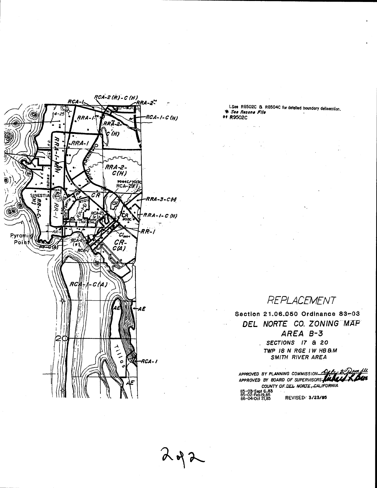

 $2472$ 

I. See R8502C & R8504C for detailed boundary delineation. \*\* *See Rezone File*<br>\*\* R9502C

# REPLACEMENT

Section 21.06.050 Ordinance 83~03 DEL NORTE CO. ZONING MAP *AREA B-3*  SECTIONS 17 & 20 TWP 18 N RGE IW HBSM

SMITH RIVER AREA

 $APPROVED$  BY PLANNING COMMISSION APPROVED BY BOARD<br>APPROVED BY BOARD G COMMISSION <u>Paley</u> & Dom NU<br>OF SUPERVISORS: **ALLAN X DAM** COUNTY OF DEL NORTE, CALIFORNIA 83-03•Sept 6,83<br>85-02•Feb 19,85<br>86-04:00•13195 86-04•0ct 2J,B5 REVISE(}.· 3/23/95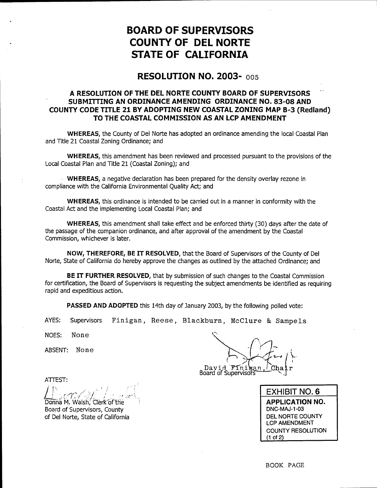# **BOARD OF SUPERVISORS COUNTY OF DEL NORTE STATE OF CALIFORNIA**

## **RESOLUTION NO. 2003-** oos

## **A RESOLUTION OF THE DEL NORTE COUNTY BOARD OF SUPERVISORS SUBMITIING AN ORDINANCE AMENDING ORDINANCE NO. 83-08 AND COUNTY CODE TITLE 21 BY ADOPTING NEW COASTAL ZONING MAP B-3 (Redland) TO THE COASTAL COMMISSION AS AN LCP AMENDMENT**

**WHEREAS,** the County of Del Norte has adopted an ordinance amending the local Coastal Plan and Title 21 Coastal Zoning Ordinance; and

**WHEREAS,** this amendment has been reviewed and processed pursuant to the provisions of the Local Coastal Plan and Title 21 (Coastal Zoning.); and

- **WHEREAS,** a negative declaration has been prepared for the density overlay rezone in compliance with the California Environmental Quality Act; and

**WHEREAS,** this ordinance is intended to be carried out in a manner in conformity with the Coastal Act and the implementing Local Coastal Plan; and

**WHEREAS,** this amendment shall take effect and be enforced thirty (30) days after the date of the passage of the companion ordinance, and after approval of the amendment by the Coastal Commission, whichever is later.

**NOW, THEREFORE, BE IT RESOLVED,** that the Board of Supervisors of the County of Del Norte, State of California do hereby approve the changes as outlined by the attached Ordinance; and

**BE IT FURTHER RESOLVED,** that by submission of such changes to the Coastal Commission for certification, the Board of Supervisors is requesting the subject amendments be identified as requiring rapid and expeditious action.

**PASSED AND ADOPTED** this 14th day of January 2003, by the following polled vote:

AYES: Supervisors Finigan, Reese, Blackburn, McClure & Sampels

NOES: None

ABSENT: None

ATIEST:

 $\int$  is real set of the value Donna M. Walsh, Clerk of the Board of Supervisors, County of Del Norte, State of California

David Finisan<br>Board of Supervisors

**EXHIBIT NO.6 APPLICATION NO.**  DNC-MAJ-1-03 DEL NORTE COUNTY LCP AMENDMENT COUNTY RESOLUTION (1 of 2)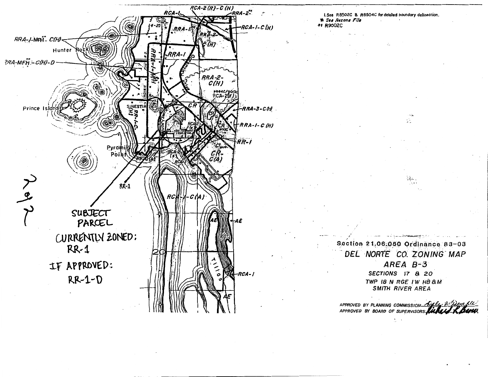

I.See R8502C & R8504C for detailed boundary delineation. \* See Rezone File **\*\* R9502C** 

> Section 21,06:050 Ordinance 83-03 DEL NORTE CO. ZONING MAP  $AREA B-3$ SECTIONS 17 & 20 TWP IB N RGE IW HB AM

**SMITH RIVER AREA** 

ΣĒ.

APPROVED BY PLANNING COMMISSION ALLES APPROVED BY BOARD OF SUPERVISORS.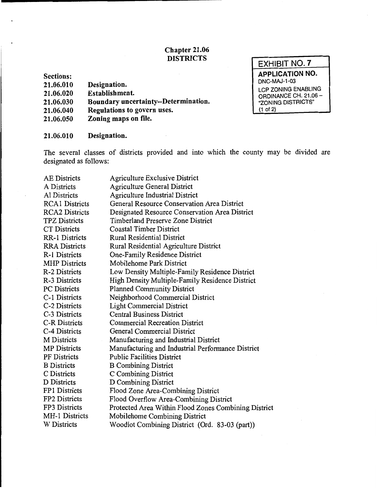## Chapter 21.06 **DISTRICTS**

| Designation.                |                                      |  |
|-----------------------------|--------------------------------------|--|
| Establishment.              |                                      |  |
|                             | Boundary uncertainty--Determination. |  |
| Regulations to govern uses. |                                      |  |

EXHIBIT NO.7 APPLICATION NO. DNC-MAJ-1-03 LCP ZONING ENABLING ORDINANCE CH. 21.06- "ZONING DISTRICTS" (1 of 2)

#### 21.06.010 Designation.

Zoning maps on file.

Sections: 21.06.010 21.06.020 21.06.030 21.06.040 21.06.050

The several classes of districts provided and into which the county may be divided are designated as follows:

| <b>AE</b> Districts   | Agriculture Exclusive District                       |
|-----------------------|------------------------------------------------------|
| A Districts           | <b>Agriculture General District</b>                  |
| Al Districts          | Agriculture Industrial District                      |
| <b>RCA1</b> Districts | General Resource Conservation Area District          |
| <b>RCA2 Districts</b> | Designated Resource Conservation Area District       |
| <b>TPZ Districts</b>  | Timberland Preserve Zone District                    |
| <b>CT</b> Districts   | <b>Coastal Timber District</b>                       |
| <b>RR-1 Districts</b> | <b>Rural Residential District</b>                    |
| <b>RRA</b> Districts  | Rural Residential Agriculture District               |
| R-1 Districts         | One-Family Residence District                        |
| <b>MHP</b> Districts  | Mobilehome Park District                             |
| R-2 Districts         | Low Density Multiple-Family Residence District       |
| R-3 Districts         | High Density Multiple-Family Residence District      |
| <b>PC</b> Districts   | <b>Planned Community District</b>                    |
| C-1 Districts         | Neighborhood Commercial District                     |
| C-2 Districts         | <b>Light Commercial District</b>                     |
| C-3 Districts         | <b>Central Business District</b>                     |
| <b>C-R Districts</b>  | <b>Commercial Recreation District</b>                |
| C-4 Districts         | General Commercial District                          |
| M Districts           | Manufacturing and Industrial District                |
| <b>MP</b> Districts   | Manufacturing and Industrial Performance District    |
| <b>PF</b> Districts   | <b>Public Facilities District</b>                    |
| <b>B</b> Districts    | <b>B</b> Combining District                          |
| C Districts           | C Combining District                                 |
| D Districts           | D Combining District                                 |
| FP1 Districts         | Flood Zone Area-Combining District                   |
| FP2 Districts         | Flood Overflow Area-Combining District               |
| FP3 Districts         | Protected Area Within Flood Zones Combining District |
| MH-1 Districts        | Mobilehome Combining District                        |
| <b>W</b> Districts    | Woodlot Combining District (Ord. 83-03 (part))       |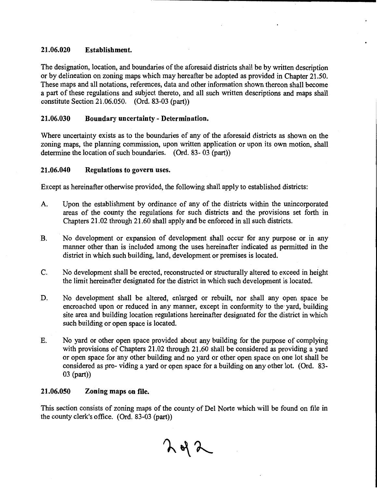## 21.06.020 Establishment.

The designation, location, and boundaries of the aforesaid districts shall be by written description or by delineation on zoning maps which may hereafter be adopted as provided in Chapter 21.50. These maps and all notations, references, data and other information shown thereon shall become a part of these regulations and subject thereto, and all such written descriptions and maps shall constitute Section 21.06.050. (Ord. 83-03 (part))

## 21.06.030 Boundary uncertainty - Determination.

Where uncertainty exists as to the boundaries of any of the aforesaid districts as shown on the zoning maps, the planning commission, upon written application or upon its own motion, shall determine the location of such boundaries. (Ord. 83- 03 (part))

## 21.06.040 Regulations to govern uses.

Except as hereinafter otherwise provided, the following shall apply to established districts:

- A. Upon the establishment by ordinance of any of the districts within the unincorporated areas of the county the regulations for such districts and the provisions set forth in Chapters 21.02 through 21.60 shall apply and be enforced in all such districts.
- B. No development or expansion of development shall occur for any purpose or in any manner other than is included among the uses hereinafter indicated as permitted in the district in which such building, land, development or premises is located.
- C. No development shall be erected, reconstructed or structurally altered to exceed in height the limit hereinafter designated for the district in which such development is located.
- D. No development shall be altered, enlarged or rebuilt, nor shall any open space be encroached upon or reduced in any manner, except in conformity to the yard, building site area and building location regulations hereinafter designated for the district in which such building or open space is located.
- E. No yard or other open space provided about any building for the purpose of complying with provisions of Chapters 21.02 through 21.60 shall be considered as providing a yard or open space for any other building and no yard or other open space on one lot shall be considered as pro- viding a yard or open space for a building on any other lot. (Ord. 83- 03 (part))

## 21.06.050 Zoning maps on file.

This section consists of zoning maps of the county of Del Norte which will be found on file in the county clerk's office. (Ord. 83-03 (part))

 $292$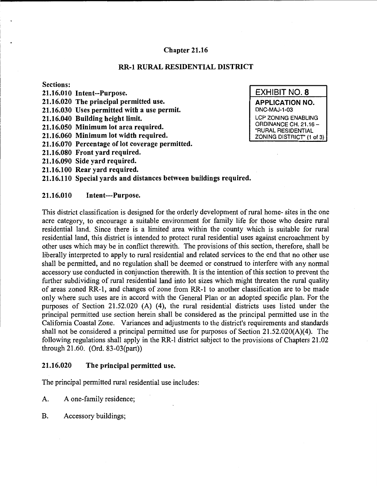#### Chapter 21.16

#### RR-1 RURAL RESIDENTIAL DISTRICT

## Sections:

- 21.16.010 Intent--Purpose.
- 21.16.020 The principal permitted use.
- 21.16.030 Uses permitted with a use permit.
- 21.16.040 Building height limit.
- 21.16.050 Minimum lot area required.
- 21.16.060 Minimum lot width required.
- 21.16.070 Percentage of lot coverage permitted.
- 21.16.080 Front yard required.
- 21.16.090 Side yard required.
- 21.16.100 Rear yard required.

#### 21.16.110 Special yards and distances between buildings required.

#### 21.16.010 Intent---Purpose.

This district classification is designed for the orderly development of rural home- sites in the one acre category, to encourage a suitable environment for family life for those who desire rural residential land. Since there is a limited area within the county which is suitable for rural residential land, this district is intended to protect rural residential uses against encroachment by other uses which may be in conflict therewith. The provisions of this section, therefore, shall be liberally interpreted to apply to rural residential and related services to the end that no other use shall be permitted, and no regulation shall be deemed or construed to interfere with any normal accessory use conducted in conjunction therewith. It is the intention of this section to prevent the further subdividing of rural residential land into lot sizes which might threaten the rural quality of areas zoned RR-1, and changes of zone from RR-1 to another classification are to be made only where such uses are in accord with the General Plan or an adopted specific plan. For the purposes of Section 21.52.020 (A) (4), the rural residential districts uses listed under the principal permitted use section herein shall be considered as the principal permitted use in the California Coastal Zone. Variances and adjustments to the district's requirements and standards shall not be considered a principal permitted use for purposes of Section 21.52.020(A)(4). The following regulations shall apply in the RR-1 district subject to the provisions of Chapters 21.02 through 21.60. (Ord. 83-03(part))

#### 21.16.020 The principal permitted use.

The principal permitted rural residential use includes:

- A. A one-family residence;
- B. Accessory buildings;

EXHIBIT NO.8 APPLICATION NO. DNC-MAJ-1-03 LCP ZONING ENABLING ORDINANCE CH. 21.16- "RURAL RESIDENTIAL ZONING DISTRICT" (1 of 3)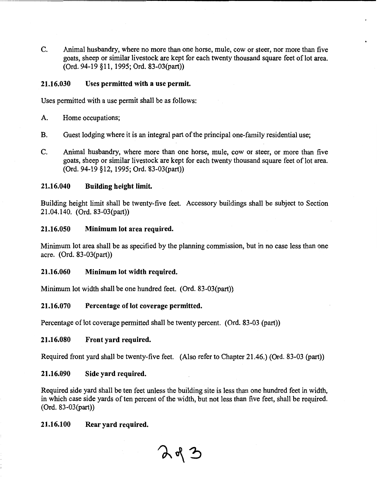C. Animal husbandry, where no more than one horse, mule, cow or steer, nor more than five goats, sheep or similar livestock are kept for each twenty thousand square feet of lot area. (Ord. 94-19 §11, 1995; Ord. 83-03(part))

## 21.16.030 Uses permitted with a use permit.

Uses permitted with a use permit shall be as follows:

- A. Home occupations;
- B. Guest lodging where it is an integral part of the principal one-family residential use;
- C. Animal husbandry, where more than one horse, mule, cow or steer, or more than five goats, sheep or similar livestock are kept for each twenty thousand square feet of lot area. (Ord. 94-19 §12, 1995; Ord. 83-03(part))

## 21.16.040 Building height limit.

Building height limit shall be twenty-five feet. Accessory buildings shall be subject to Section 21.04.140. (Ord. 83-03(part))

## 21.16.050 Minimum lot area required.

Minimum lot area shall be as specified by the planning commission, but in no case less than one acre. (Ord. 83-03(part))

## 21.16.060 Minimum lot width required.

Minimum lot width shall be one hundred feet. (Ord. 83-03(part))

## 21.16.070 Percentage of lot coverage permitted.

Percentage of lot coverage permitted shall be twenty percent. (Ord. 83-03 (part))

## 21.16.080 Front yard required.

Required front yard shall be twenty-five feet. (Also refer to Chapter 21.46.) (Ord. 83-03 (part))

## 21.16.090 Side yard required.

Required side yard shall be ten feet unless the building site is less than one hundred feet in width, in which case side yards of ten percent of the width, but not less than five feet, shall be required. (Ord. 83-03(part))

223

## 21.16.100 Rear yard required.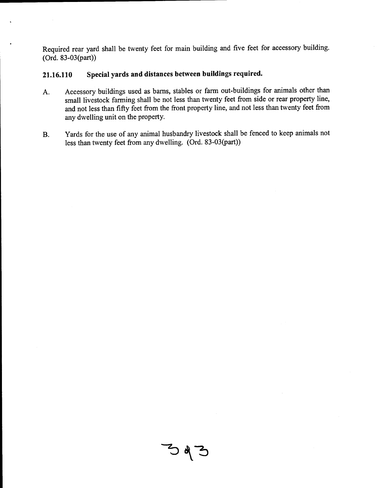Required rear yard shall be twenty feet for main building and five feet for accessory building. (Ord. 83-03(part))

## **21.16.110 Special yards and distances between buildings required.**

- A. Accessory buildings used as barns, stables or farm out-buildings for animals other than small livestock farming shall be not less than twenty feet from side or rear property line, and not less than fifty feet from the front property line, and not less than twenty feet from any dwelling unit on the property.
- B. Yards for the use of any animal husbandry livestock shall be fenced to keep animals not less than twenty feet from any dwelling. (Ord. 83-03(part))

 $393$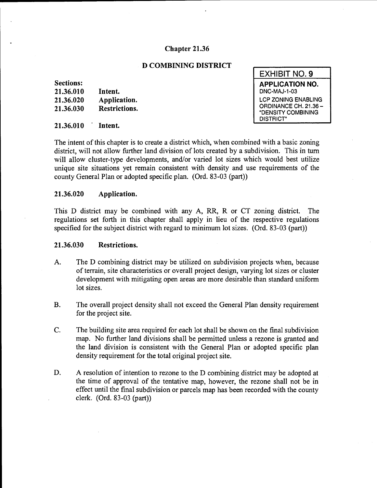## **Chapter 21.36**

## **D COMBINING DISTRICT**

## **Sections:**

| 21.36.010 | Intent.       |
|-----------|---------------|
| 21.36.020 | Application.  |
| 21.36.030 | Restrictions. |

#### **21.36.010 Intent.**

The intent of this chapter is to create a district which, when combined with a basic zoning district, will not allow further land division of lots created by a subdivision. This in tum will allow cluster-type developments, and/or varied lot sizes which would best utilize unique site situations yet remain consistent with density and use requirements of the county General Plan or adopted specific plan. (Ord. 83-03 (part))

## **21.36.020 Application.**

This D district may be combined with any A, RR, R or CT zoning district. The regulations set forth in this chapter shall apply in lieu of the respective regulations specified for the subject district with regard to minimum lot sizes. (Ord. 83-03 (part))

## **21.36.030 Restrictions.**

- A. The D combining district may be utilized on subdivision projects when, because of terrain, site characteristics or overall project design, varying lot sizes or cluster development with mitigating open areas are more desirable than standard uniform lot sizes.
- B. The overall project density shall not exceed the General Plan density requirement for the project site.
- C. The building site area required for each lot shall be shown on the final subdivision map. No further land divisions shall be permitted unless a rezone is granted and the land division is consistent with the General Plan or adopted specific plan density requirement for the total original project site.
- D. A resolution of intention to rezone to the D combining district may be adopted at the time of approval of the tentative map, however, the rezone shall not be in effect until the final subdivision or parcels map has been recorded with the county clerk. (Ord. 83-03 (part))

| <b>EXHIBIT NO. 9</b>                                                                          |
|-----------------------------------------------------------------------------------------------|
| <b>APPLICATION NO.</b><br>DNC-MAJ-1-03                                                        |
| <b>LCP ZONING ENABLING</b><br>ORDINANCE CH. 21.36 -<br>"DENSITY COMBINING<br><b>DISTRICT"</b> |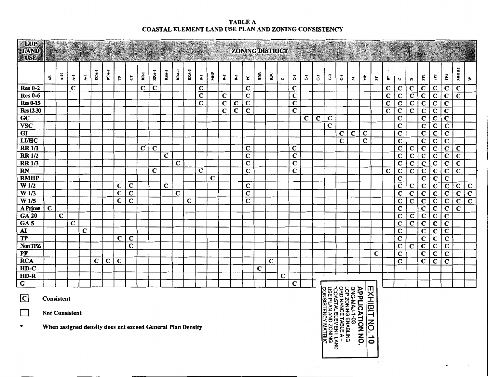**TABLE A** COASTAL ELEMENT LAND USE PLAN AND ZONING CONSISTENCY

| <b>MILUP:</b><br><b>LAND</b><br>USE. |                                                                                                                                                                                                                                                                            |        |                 |                    | $\mathcal{L}_{\mathcal{A}}$ |             |                         |                         | Ŵ.          | $\mathcal{D}$           |             |                         |             |                         |                         |                         |                         | <b>ZONING DISTRICT</b><br>MARCH 2 |             |             | <b>RADIO COMPOSITION</b><br>$\mathcal{L}(\mathcal{X})$ |                         |             |             |                         |             |             |             | A sta Zool     |                         |                         |                         |                         |                         |                         |                         |                         |
|--------------------------------------|----------------------------------------------------------------------------------------------------------------------------------------------------------------------------------------------------------------------------------------------------------------------------|--------|-----------------|--------------------|-----------------------------|-------------|-------------------------|-------------------------|-------------|-------------------------|-------------|-------------------------|-------------|-------------------------|-------------------------|-------------------------|-------------------------|-----------------------------------|-------------|-------------|--------------------------------------------------------|-------------------------|-------------|-------------|-------------------------|-------------|-------------|-------------|----------------|-------------------------|-------------------------|-------------------------|-------------------------|-------------------------|-------------------------|-------------------------|-------------------------|
|                                      | ų                                                                                                                                                                                                                                                                          | $A-20$ | $\ddot{\bm{x}}$ | $\overline{\star}$ | RCA-1                       | RCA-2       | Ę                       | t                       | RR-1        | RRA-I                   | RRA-2       | <b>RRA-3</b>            | RRA-5       | 군                       | МHP                     | $\mathbf{z}$            | 2                       | ပ္စ                               | НDR         | ЮC          | $\mathbf 0$                                            | 3                       | ુ           | ပိ          | ؾ                       | J           | Σ           | Ê           | È.             | ÷                       | $\mathbf \omega$        | $\blacksquare$          | Ē                       | FP <sub>2</sub>         | Ë                       | <b>MH1&amp;2</b>        | ₹                       |
| <b>Res 0-2</b>                       |                                                                                                                                                                                                                                                                            |        | $\mathbf C$     |                    |                             |             |                         |                         | $\bf C$     | $\mathbf c$             |             |                         |             | C                       |                         |                         |                         | C                                 |             |             |                                                        | $\mathbf C$             |             |             |                         |             |             |             |                | $\mathbf C$             | С                       | C                       | С                       | $\mathbf C$             | $\mathbf C$             | $\mathbf C$             |                         |
| <b>Res 0-6</b>                       |                                                                                                                                                                                                                                                                            |        |                 |                    |                             |             |                         |                         |             |                         |             |                         |             | $\mathbf C$             |                         | $\mathbf C$             |                         | $\mathbf C$                       |             |             |                                                        | $\mathbf C$             |             |             |                         |             |             |             |                | $\overline{\mathbf{C}}$ | $\bf C$                 | $\overline{\mathbf{C}}$ | $\mathbf C$             | $\overline{\mathbf{C}}$ | $\mathbf C$             | $\overline{\mathbf{c}}$ |                         |
| $Res 0-15$                           |                                                                                                                                                                                                                                                                            |        |                 |                    |                             |             |                         |                         |             |                         |             |                         |             | $\overline{\mathbf{C}}$ |                         | $\mathbf C$             | $\mathbf C$             | $\mathbf C$                       |             |             |                                                        | $\mathbf C$             |             |             |                         |             |             |             |                | $\overline{\mathbf{C}}$ | $\overline{\mathbf{c}}$ | $\overline{\mathbf{c}}$ | $\overline{\mathbf{c}}$ | $\overline{\mathbf{c}}$ | $\overline{\mathbf{c}}$ |                         |                         |
| <b>Res12-30</b>                      |                                                                                                                                                                                                                                                                            |        |                 |                    |                             |             |                         |                         |             |                         |             |                         |             |                         |                         | $\overline{\mathbf{C}}$ | $\overline{\mathbf{c}}$ | $\mathbf C$                       |             |             |                                                        | $\overline{c}$          |             |             |                         |             |             |             |                | $\overline{\mathbf{c}}$ | $\overline{c}$          | $\overline{\mathbf{c}}$ | $\overline{\mathbf{c}}$ | $\overline{c}$          | $\overline{\mathbf{C}}$ |                         |                         |
| $\overline{GC}$                      |                                                                                                                                                                                                                                                                            |        |                 |                    |                             |             |                         |                         |             |                         |             |                         |             |                         |                         |                         |                         |                                   |             |             |                                                        |                         | $\mathbf C$ | $\mathbf C$ | $\mathbf c$             |             |             |             |                |                         | $\mathbf C$             |                         | $\bf C$                 | $\mathbf C$             | $\mathbf C$             |                         |                         |
| <b>VSC</b>                           |                                                                                                                                                                                                                                                                            |        |                 |                    |                             |             |                         |                         |             |                         |             |                         |             |                         |                         |                         |                         |                                   |             |             |                                                        |                         |             |             | $\overline{\mathbf{c}}$ |             |             |             |                |                         | $\mathbf C$             |                         | $\overline{\mathbf{C}}$ | $\overline{\mathbf{c}}$ | $\overline{\mathbf{C}}$ |                         |                         |
| GI                                   |                                                                                                                                                                                                                                                                            |        |                 |                    |                             |             |                         |                         |             |                         |             |                         |             |                         |                         |                         |                         |                                   |             |             |                                                        |                         |             |             |                         | C           | $\mathbf C$ | $\mathbf C$ |                |                         | $\mathbf C$             |                         | $\mathbf C$             | $\overline{\mathbf{c}}$ | $\overline{\mathbf{c}}$ |                         |                         |
| <b>LI/HC</b>                         |                                                                                                                                                                                                                                                                            |        |                 |                    |                             |             |                         |                         |             |                         |             |                         |             |                         |                         |                         |                         |                                   |             |             |                                                        |                         |             |             |                         | $\mathbf C$ |             | $\mathbf C$ |                |                         | $\bf C$                 |                         | $\overline{\mathbf{c}}$ | $\overline{c}$          | $\overline{\mathbf{C}}$ |                         |                         |
| <b>RR 1/1</b>                        |                                                                                                                                                                                                                                                                            |        |                 |                    |                             |             |                         |                         | $\mathbf C$ | $\overline{\mathbf{c}}$ |             |                         |             |                         |                         |                         |                         | C                                 |             |             |                                                        | $\mathbf C$             |             |             |                         |             |             |             |                |                         | $\overline{\mathbf{C}}$ | C                       | $\mathbf C$             | $\overline{\mathbf{C}}$ | $\overline{\mathbf{c}}$ | $\overline{\mathbf{C}}$ |                         |
| <b>RR1/2</b>                         |                                                                                                                                                                                                                                                                            |        |                 |                    |                             |             |                         |                         |             |                         | $\mathbf C$ |                         |             |                         |                         |                         |                         | $\overline{\mathbf{C}}$           |             |             |                                                        | $\overline{\mathbf{C}}$ |             |             |                         |             |             |             |                |                         | $\overline{\mathbf{C}}$ | $\overline{\mathbf{C}}$ | $\overline{\mathbf{c}}$ | $\overline{\mathbf{c}}$ | $\mathbf C$             | $\overline{\mathbf{c}}$ |                         |
| <b>RR 1/3</b>                        |                                                                                                                                                                                                                                                                            |        |                 |                    |                             |             |                         |                         |             |                         |             | $\overline{\mathbf{C}}$ |             |                         |                         |                         |                         | $\overline{\mathbf{c}}$           |             |             |                                                        | $\overline{\mathbf{c}}$ |             |             |                         |             |             |             |                |                         | $\overline{\mathbf{C}}$ | $\overline{\mathbf{c}}$ | $\overline{\mathbf{c}}$ | $\overline{\mathbf{c}}$ | $\overline{\mathbf{c}}$ | $\overline{c}$          |                         |
| RN                                   |                                                                                                                                                                                                                                                                            |        |                 |                    |                             |             |                         |                         |             | C                       |             |                         |             | $\overline{\mathbf{c}}$ |                         |                         |                         | $\overline{\mathbf{c}}$           |             |             |                                                        | $\overline{\mathbf{C}}$ |             |             |                         |             |             |             |                | $\overline{\mathbf{C}}$ | $\overline{c}$          | $\overline{\mathbf{c}}$ | $\overline{\mathbf{c}}$ | $\overline{\mathbf{c}}$ | $\overline{c}$          | $\overline{\mathbf{c}}$ |                         |
| <b>RMHP</b>                          |                                                                                                                                                                                                                                                                            |        |                 |                    |                             |             |                         |                         |             |                         |             |                         |             |                         | $\overline{\mathbf{C}}$ |                         |                         |                                   |             |             |                                                        |                         |             |             |                         |             |             |             |                |                         | $\mathbf C$             |                         | $\overline{\mathbf{C}}$ | $\mathbf C$             | $\overline{\mathbf{C}}$ |                         |                         |
| $\overline{W}$ 1/2                   |                                                                                                                                                                                                                                                                            |        |                 |                    |                             |             | C                       | $\mathbf C$             |             |                         | $\mathbf C$ |                         |             |                         |                         |                         |                         | $\bf C$                           |             |             |                                                        |                         |             |             |                         |             |             |             |                |                         | $\overline{\mathbf{C}}$ | $\mathbf C$             | $\overline{\mathbf{c}}$ | $\overline{\mathbf{C}}$ | $\overline{\mathbf{c}}$ | $\mathbf C$             | $\overline{\mathbf{c}}$ |
| W <sub>1/3</sub>                     |                                                                                                                                                                                                                                                                            |        |                 |                    |                             |             | $\mathbf C$             | $\overline{\mathbf{C}}$ |             |                         |             | $\mathbf C$             |             |                         |                         |                         |                         | $\overline{\mathbf{c}}$           |             |             |                                                        |                         |             |             |                         |             |             |             |                |                         | $\overline{\mathbf{c}}$ | $\overline{\mathbf{c}}$ | $\overline{\mathbf{c}}$ | $\overline{c}$          | $\overline{\mathbf{c}}$ | $\overline{\mathbf{c}}$ | $\overline{\mathbf{c}}$ |
| $\overline{W}$ 1/5                   |                                                                                                                                                                                                                                                                            |        |                 |                    |                             |             | $\overline{\mathbf{c}}$ | $\overline{\mathbf{c}}$ |             |                         |             |                         | $\mathbf C$ |                         |                         |                         |                         | $\overline{\mathbf{c}}$           |             |             |                                                        |                         |             |             |                         |             |             |             |                |                         | $\overline{\mathbf{c}}$ | $\overline{\mathbf{C}}$ | $\overline{\mathbf{c}}$ | $\overline{\mathbf{C}}$ | $\overline{\mathbf{c}}$ | $\overline{\mathbf{C}}$ | $\overline{\mathbf{c}}$ |
| <b>A Prime</b>                       | $\overline{\mathbf{c}}$                                                                                                                                                                                                                                                    |        |                 |                    |                             |             |                         |                         |             |                         |             |                         |             |                         |                         |                         |                         |                                   |             |             |                                                        |                         |             |             |                         |             |             |             |                |                         | $\overline{\mathbf{c}}$ |                         | $\overline{\mathbf{c}}$ | $\overline{\mathbf{c}}$ | $\mathbf C$             | $\overline{\mathbf{c}}$ |                         |
| <b>GA 20</b>                         |                                                                                                                                                                                                                                                                            | C      |                 |                    |                             |             |                         |                         |             |                         |             |                         |             |                         |                         |                         |                         |                                   |             |             |                                                        |                         |             |             |                         |             |             |             |                |                         | C                       | C                       | $\overline{\mathbf{c}}$ | $\mathbf C$             | $\mathbf C$             |                         |                         |
| GA <sub>5</sub>                      |                                                                                                                                                                                                                                                                            |        | $\mathbf C$     |                    |                             |             |                         |                         |             |                         |             |                         |             |                         |                         |                         |                         |                                   |             |             |                                                        |                         |             |             |                         |             |             |             |                |                         | $\overline{\mathbf{C}}$ | $\overline{\mathbf{C}}$ | $\overline{\mathbf{c}}$ | $\mathbf C$             | $\overline{\mathbf{C}}$ |                         |                         |
| ${\bf AI}$                           |                                                                                                                                                                                                                                                                            |        |                 | $\mathbf C$        |                             |             |                         |                         |             |                         |             |                         |             |                         |                         |                         |                         |                                   |             |             |                                                        |                         |             |             |                         |             |             |             |                |                         | $\overline{\mathbf{c}}$ |                         | $\overline{\mathbf{c}}$ | $\overline{\mathbf{c}}$ | $\overline{\mathbf{c}}$ |                         |                         |
| TP                                   |                                                                                                                                                                                                                                                                            |        |                 |                    |                             |             | $\mathbf C$             | $\overline{\mathbf{c}}$ |             |                         |             |                         |             |                         |                         |                         |                         |                                   |             |             |                                                        |                         |             |             |                         |             |             |             |                |                         | C                       |                         | $\overline{\mathbf{c}}$ | $\overline{\mathbf{C}}$ | $\overline{\mathbf{c}}$ |                         |                         |
| Non TPZ                              |                                                                                                                                                                                                                                                                            |        |                 |                    |                             |             |                         | $\overline{\mathbf{c}}$ |             |                         |             |                         |             |                         |                         |                         |                         |                                   |             |             |                                                        |                         |             |             |                         |             |             |             |                |                         | $\overline{\mathbf{c}}$ | $\overline{\mathbf{C}}$ | $\overline{\mathbf{c}}$ | $\mathbf C$             | $\overline{\mathbf{c}}$ |                         |                         |
| PF                                   |                                                                                                                                                                                                                                                                            |        |                 |                    |                             |             |                         |                         |             |                         |             |                         |             |                         |                         |                         |                         |                                   |             |             |                                                        |                         |             |             |                         |             |             |             | C              |                         | $\overline{\mathbf{c}}$ |                         | $\overline{c}$          | $\mathbf C$             | $\overline{\mathbf{C}}$ |                         |                         |
| <b>RCA</b>                           |                                                                                                                                                                                                                                                                            |        |                 |                    | $\mathbf C$                 | $\mathbf C$ | $\mathbf C$             |                         |             |                         |             |                         |             |                         |                         |                         |                         |                                   |             | $\mathbf C$ |                                                        |                         |             |             |                         |             |             |             |                |                         | $\overline{\mathbf{C}}$ |                         | $\overline{\mathbf{c}}$ | $\overline{\mathbf{C}}$ | $\overline{\mathbf{c}}$ |                         |                         |
| $HD-C$                               |                                                                                                                                                                                                                                                                            |        |                 |                    |                             |             |                         |                         |             |                         |             |                         |             |                         |                         |                         |                         |                                   | $\mathbf C$ |             |                                                        |                         |             |             |                         |             |             |             |                |                         |                         |                         |                         |                         |                         |                         |                         |
| $HD-R$                               |                                                                                                                                                                                                                                                                            |        |                 |                    |                             |             |                         |                         |             |                         |             |                         |             |                         |                         |                         |                         |                                   |             |             | $\mathbf C$                                            |                         |             |             |                         |             |             |             |                |                         |                         |                         |                         |                         |                         |                         |                         |
| $\bf G$                              |                                                                                                                                                                                                                                                                            |        |                 |                    |                             |             |                         |                         |             |                         |             |                         |             |                         |                         |                         |                         |                                   |             |             |                                                        | C                       |             |             |                         |             |             |             |                |                         |                         |                         |                         |                         |                         |                         |                         |
| $ {\bf C} $                          | Consistent                                                                                                                                                                                                                                                                 |        |                 |                    |                             |             |                         |                         |             |                         |             |                         |             |                         |                         |                         |                         |                                   |             |             |                                                        |                         |             |             |                         |             |             |             | <b>EXHIBIT</b> |                         |                         |                         |                         |                         |                         |                         |                         |
| $\Box$                               | <b>Not Consistent</b>                                                                                                                                                                                                                                                      |        |                 |                    |                             |             |                         |                         |             |                         |             |                         |             |                         |                         |                         |                         |                                   |             |             |                                                        |                         |             |             | <b>NSISTENC</b>         |             |             |             |                |                         |                         |                         |                         |                         |                         |                         |                         |
| $\,^{\star}$                         | <b>DNG-MAJ-1-03<br/>LCP ZONING ENABLING<br/>ORDINANCE TABLE A -<br/>COASTAL ELEMENT LAND</b><br>"USE PLAN AND ZONING<br><b>APPLICATION NO.</b><br>$ \varepsilon $<br><b>ZONING</b><br>MATRIX"<br>When assigned density does not exceed General Plan Density<br>$ \vec{0} $ |        |                 |                    |                             |             |                         |                         |             |                         |             |                         |             |                         |                         |                         |                         |                                   |             |             |                                                        |                         |             |             |                         |             |             |             |                |                         |                         |                         |                         |                         |                         |                         |                         |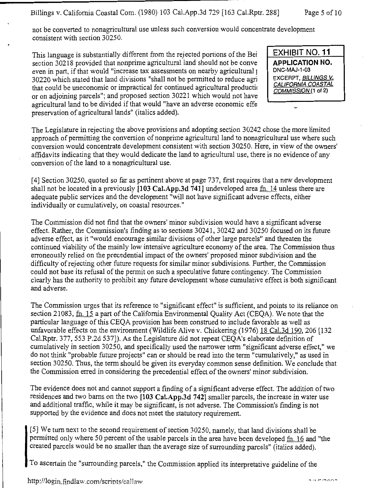not be converted to nonagricultural use unless such conversion would concentrate development consistent with section 30250.

This language is substantially different from the rejected portions of the Bei section 30218 provided that nonprime agricultural land should not be conve even in part, if that would "increase tax assessments on nearby agricultural) 30220 which stated that land divisions "shall not be permitted to reduce agri that could be uneconomic or impractical for continued agricultural producti< or on adjoining parcels"; and proposed section 30221 which would not have agricultural land to be divided if that would "have an adverse economic effe preservation of agricultural lands" (italics added).

**EXHIBIT NO. 11 APPLICATION NO.**  DNC-MAJ-1-03 EXCERPT, BILLINGS V. CALIFORNIA COASTAL COMMISSION (1 of 2)

 $\overline{ }$ 

The Legislature in rejecting the above provisions and adopting section 30242 chose the more limited approach of permitting the conversion of nonprime agricultural land to nonagricultural use where such conversion would concentrate development consistent with section 30250. Here, in view of the owners' affidavits indicating that they would dedicate the land to agricultural use, there is no evidence of any conversion of the land to a nonagricultural use.

[ 4] Section 30250, quoted so far as pertinent above at page 737, first requires that a new development shall not be located in a previously **[103 Cal.App.3d 741]** undeveloped area fn. 14 unless there are adequate public services and the development "will not have significant adverse effects, either individually or cumulatively, on coastal resources."

The Commission did not find that the owners' minor subdivision would have a significant adverse effect. Rather, the Commission's finding as to sections 30241, 30242 and 30250 focused on its future adverse effect, as it "would encourage similar divisions of other large parcels" and threaten the continued viability of the mainly low intensive agriculture economy of the area. The Commission thus erroneously relied on the precedential impact of the owners' proposed minor subdivision and the difficulty of rejecting other future requests for similar minor subdivisions. Further, the Commission could not base its refusal of the permit on such a speculative future contingency. The Commission clearly has the authority to prohibit any future development whose cumulative effect is both significant and adverse.

The Commission urges that its reference to "significant effect" is sufficient, and points to its reliance on section 21083, fn. 15 a part of the California Environmental Quality Act (CEQA). We note that the particular language ofthis CEQA provision has been construed to include favorable as well as unfavorable effects on the environment (Wildlife Alive v. Chickering (1976) 18 Cal.3d 190, 206 [132 Cal.Rptr. 377, 553 P.2d 537]). As the Legislature did not repeat CEQA's elaborate definition of cumulatively in section 30250, and specifically used the narrower term "significant adverse effect," we do not think "probable future projects" can or should be read into the term "cumulatively," as used in section 30250. Thus, the term should be given its everyday common sense definition. We conclude that the Commission erred in considering the precedential effect of the owners' minor subdivision. ·

The evidence does not and cannot support a finding of a significant adverse effect. The addition of two residences and two barns on the two **[103 Cal.App.3d 742]** smaller parcels, the increase in water use and additional traffic, while it may be significant, is not adverse. The Commission's finding is not supported by the evidence and does not meet the statutory requirement.

[ 5] We turn next to the second requirement of section 30250, namely, that land divisions shall be permitted only where 50 percent of the usable parcels in the area have been developed fn. 16 and "the created parcels would be no smaller than the average size of surrounding parcels" (italics added).

To ascertain the "surrounding parcels," the Commission applied its interpretative guideline of the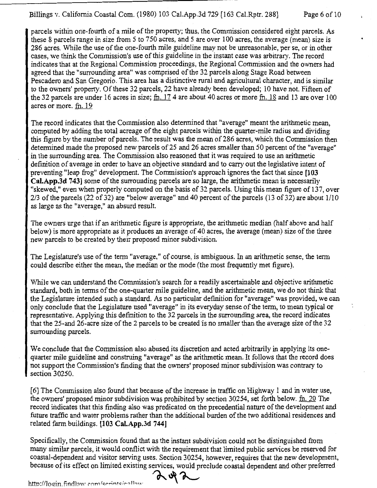parcels within one-fourth of a mile of the property; thus, the Commission considered eight parcels. As these 8 parcels range in size from *5* to 750 acres, and *5* are over 100 acres, the average (mean) size is 286 acres. While the use of the one-fourth mile guideline may not be unreasonable, per se, or in other cases, we think the Commission's use of this guideline in the instant case was arbitrary. The record indicates that at the Regional Commission proceedings, the Regional Commission and the owners had agreed that the "surrounding area" was comprised of the 32 parcels along Stage Road between Pescadero and San Gregorio. This area has a distinctive rural and agricultural character, and is similar to the owners' property. Of these 32 parcels, 22 have already been developed; 10 have not. Fifteen of the 32 parcels are under 16 acres in size;  $\text{fn}$ , 17 4 are about 40 acres or more  $\text{fn}$ , 18 and 13 are over 100 acres or more. fh. 19

The record indicates that the Commission also determined that "average" meant the arithmetic mean, computed by adding the total acreage of the eight parcels within the quarter-mile radius and dividing this figure by the number of parcels. The result was the mean of 286 acres, which the Commission then determined made the proposed new parcels of 25 and 26 acres smaller than 50 percent of the "average" in the surrounding area. The Commission also reasoned that it was required to use an arithmetic definition of average in order to have an objective standard and to carry out the legislative intent of preventing "leap frog" development. The Commission's approach ignores the fact that since **[1 03 Cai.App.3d 743]** some of the surrounding parcels are so large, the arithmetic mean is necessarily "skewed," even when properly computed on the basis of 32 parcels. Using this mean figure of 137, over 2/3 of the parcels (22 of 32) are "below average" and 40 percent of the parcels (13 of 32) are about 1/10 as large as the "average," an absurd result.

The owners urge that if an arithmetic figure is appropriate, the arithmetic median (half above and half below) is more appropriate as it produces an average of 40 acres, the average (mean) size of the three new parcels to be created by their proposed minor subdivision.

The Legislature's use of the term "average," of course, is ambiguous. In an arithmetic sense, the term could describe either the mean, the median or the mode (the most frequently met figure).

While we can understand the Commission's search for a readily ascertainable and objective arithmetic standard, both in terms of the one-quarter mile guideline, and the arithmetic mean, we do not think that the Legislature intended such a standard. As no particular definition for "average" was provided, we can only conclude that the Legislature used "average" in its everyday sense of the term, to mean typical or representative. Applying this definition to the 32 parcels in the surrounding area, the record indicates that the 25-and 26-acre size of the 2 parcels to be created is no smaller than the average size of the 32 surrounding parcels.

We conclude that the Commission also abused its discretion and acted arbitrarily in applying its onequarter mile guideline and construing "average" as the arithmetic mean. It follows that the record does not support the Commission's finding that the owners' proposed minor subdivision was contrary to section 30250.

[6] The Commission also found that because of the increase in traffic on Highway 1 and in water use, the owners' proposed minor subdivision was prohibited by section  $30254$ , set forth below. fn. 20 The record indicates that this finding also was predicated on the precedential nature of the development and future traffic and water problems rather than the additional burden of the two additional residences and related farm buildings. **[103 Cal.App.3d 744]** 

Specifically, the Commission found that as the instant subdivision could not be distinguished from many similar parcels, it would conflict with the requirement that limited public services be reserved for coastal-dependent and visitor serving uses. Section 30254, however, requires that the new development, because of its effect on limited existing services, would preclude coastal dependent and other preferred

http://login.findlaw com/scripts/callow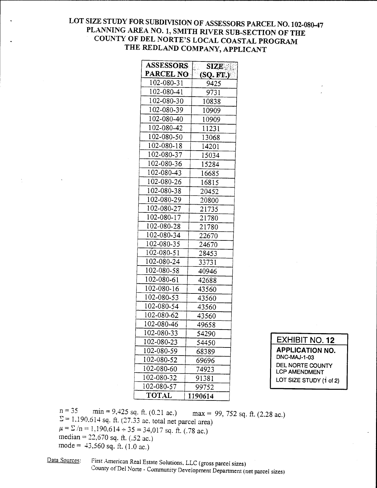## LOT SIZE STUDY FOR SUBDIVISION OF ASSESSORS PARCEL NO. 102-080-47 PLANNING AREA NO. 1, SMITH RIVER SUB-SECTION OF THE COUNTY OF DEL NORTE'S LOCAL COASTAL PROGRAM THE REDLAND COMPANY, APPLICANT

| <b>ASSESSORS</b> | <b>SIZE</b> |
|------------------|-------------|
| <b>PARCEL NO</b> | (SQ. FT.)   |
| 102-080-31       | 9425        |
| 102-080-41       | 9731        |
| 102-080-30       | 10838       |
| 102-080-39       | 10909       |
| 102-080-40       | 10909       |
| 102-080-42       | 11231       |
| 102-080-50       | 13068       |
| 102-080-18       | 14201       |
| 102-080-37       | 15034       |
| 102-080-36       | 15284       |
| 102-080-43       | 16685       |
| 102-080-26       | 16815       |
| 102-080-38       | 20452       |
| 102-080-29       | 20800       |
| 102-080-27       | 21735       |
| 102-080-17       | 21780       |
| 102-080-28       | 21780       |
| 102-080-34       | 22670       |
| 102-080-35       | 24670       |
| 102-080-51       | 28453       |
| 102-080-24       | 33731       |
| 102-080-58       | 40946       |
| 102-080-61       | 42688       |
| 102-080-16       | 43560       |
| 102-080-53       | 43560       |
| 102-080-54       | 43560       |
| 102-080-62       | 43560       |
| 102-080-46       | 49658       |
| 102-080-33       | 54290       |
| 102-080-23       | 54450       |
| 102-080-59       | 68389       |
| 102-080-52       | 69696       |
| 102-080-60       | 74923       |
| 102-080-32       | 91381       |
| 102-080-57       | 99752       |
| <b>TOTAL</b>     | 1190614     |

EXHIBIT NO. **12 APPLICATION NO.**  DNC-MAJ-1-03 DEL NORTE COUNTY LCP AMENDMENT LOT SIZE STUDY (1 of 2)

 $n = 35$  min = 9,425 sq. ft. (0.21 ac.) max = 99, 752 sq. ft. (2.28 ac.)  $\Sigma$  = 1.190.614 sq. ft. (27.33 ac. total net parcel area)  $\mu = \sum/n = 1,190.614 \div 35 = 34,017$  sq. ft. (.78 ac.)  $median = 22,670$  sq. ft. (.52 ac.) mode =  $43,560$  sq. ft. (1.0 ac.)

## Data Sources: First American Real Estate Solutions. LLC (gross parcel sizes) County of Del None- Community Development Depanment (net parcel sizes)